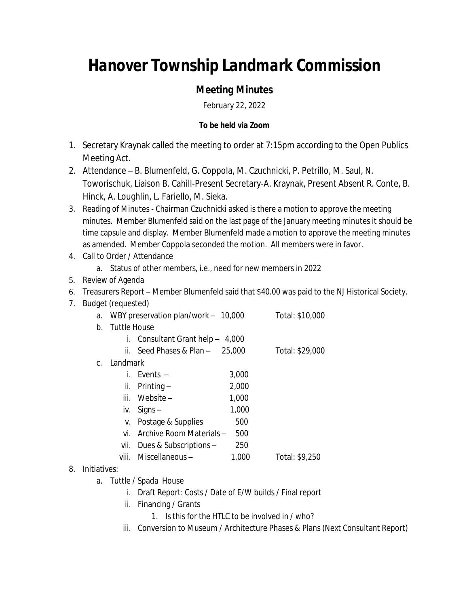## *Hanover Township Landmark Commission*

## *Meeting Minutes*

February 22, 2022

## **To be held via Zoom**

- 1. Secretary Kraynak called the meeting to order at 7:15pm according to the Open Publics Meeting Act.
- 2. Attendance B. Blumenfeld, G. Coppola, M. Czuchnicki, P. Petrillo, M. Saul, N. Toworischuk, Liaison B. Cahill-Present Secretary-A. Kraynak, Present Absent R. Conte, B. Hinck, A. Loughlin, L. Fariello, M. Sieka.
- 3. Reading of Minutes Chairman Czuchnicki asked is there a motion to approve the meeting minutes. Member Blumenfeld said on the last page of the January meeting minutes it should be time capsule and display. Member Blumenfeld made a motion to approve the meeting minutes as amended. Member Coppola seconded the motion. All members were in favor.
- 4. Call to Order / Attendance
	- a. Status of other members, i.e., need for new members in 2022
- 5. Review of Agenda
- 6. Treasurers Report Member Blumenfeld said that \$40.00 was paid to the NJ Historical Society.
- 7. Budget (requested)
	- a. WBY preservation plan/work 10,000 Total: \$10,000
	- b. Tuttle House
		- i. Consultant Grant help 4,000
		- ii. Seed Phases & Plan 25,000 Total: \$29,000
	- c. Landmark

| i. Events –      | 3,000 |
|------------------|-------|
| ii. Printing –   | 2,000 |
| iii. Website $-$ | 1.000 |

- iv.  $Signs 1,000$
- v. Postage & Supplies 500
- vi. Archive Room Materials 500
- vii. Dues & Subscriptions 250
- viii. Miscellaneous 1,000 Total: \$9,250
- 8. Initiatives:
	- a. Tuttle / Spada House
		- i. Draft Report: Costs / Date of E/W builds / Final report
		- ii. Financing / Grants
			- 1. Is this for the HTLC to be involved in / who?
		- iii. Conversion to Museum / Architecture Phases & Plans (Next Consultant Report)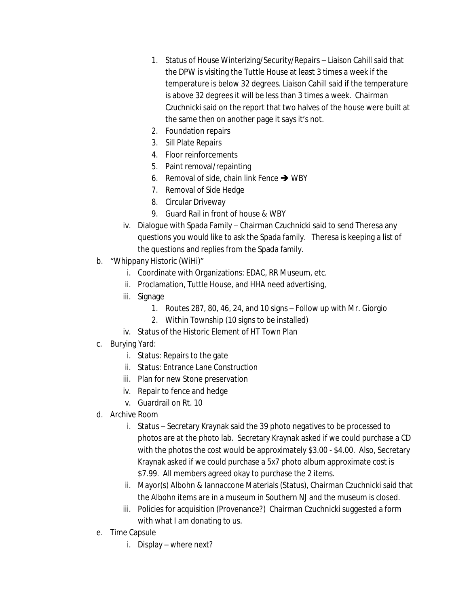- 1. Status of House Winterizing/Security/Repairs Liaison Cahill said that the DPW is visiting the Tuttle House at least 3 times a week if the temperature is below 32 degrees. Liaison Cahill said if the temperature is above 32 degrees it will be less than 3 times a week. Chairman Czuchnicki said on the report that two halves of the house were built at the same then on another page it says it's not.
- 2. Foundation repairs
- 3. Sill Plate Repairs
- 4. Floor reinforcements
- 5. Paint removal/repainting
- 6. Removal of side, chain link Fence  $\rightarrow$  WBY
- 7. Removal of Side Hedge
- 8. Circular Driveway
- 9. Guard Rail in front of house & WBY
- iv. Dialogue with Spada Family Chairman Czuchnicki said to send Theresa any questions you would like to ask the Spada family. Theresa is keeping a list of the questions and replies from the Spada family.
- b. "Whippany Historic (WiHi)"
	- i. Coordinate with Organizations: EDAC, RR Museum, etc.
	- ii. Proclamation, Tuttle House, and HHA need advertising,
	- iii. Signage
		- 1. Routes 287, 80, 46, 24, and 10 signs Follow up with Mr. Giorgio
		- 2. Within Township (10 signs to be installed)
	- iv. Status of the Historic Element of HT Town Plan
- c. Burying Yard:
	- i. Status: Repairs to the gate
	- ii. Status: Entrance Lane Construction
	- iii. Plan for new Stone preservation
	- iv. Repair to fence and hedge
	- v. Guardrail on Rt. 10
- d. Archive Room
	- i. Status Secretary Kraynak said the 39 photo negatives to be processed to photos are at the photo lab. Secretary Kraynak asked if we could purchase a CD with the photos the cost would be approximately \$3.00 - \$4.00. Also, Secretary Kraynak asked if we could purchase a 5x7 photo album approximate cost is \$7.99. All members agreed okay to purchase the 2 items.
	- ii. Mayor(s) Albohn & Iannaccone Materials (Status), Chairman Czuchnicki said that the Albohn items are in a museum in Southern NJ and the museum is closed.
	- iii. Policies for acquisition (Provenance?) Chairman Czuchnicki suggested a form with what I am donating to us.
- e. Time Capsule
	- i. Display where next?